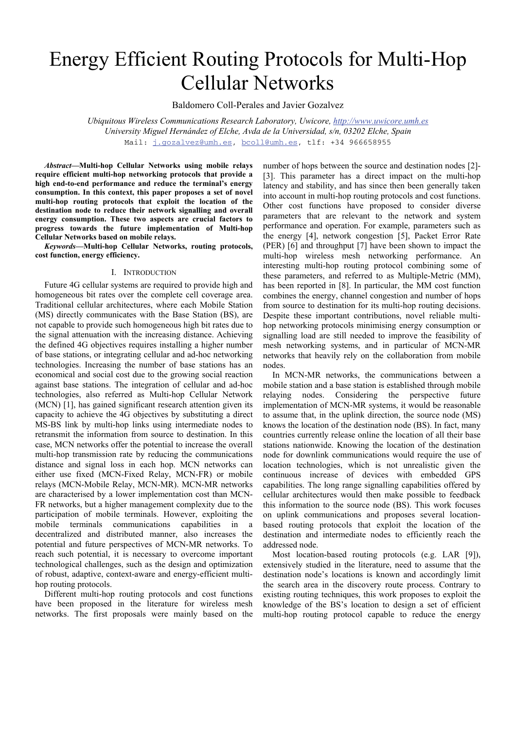# Energy Efficient Routing Protocols for Multi-Hop Cellular Networks

Baldomero Coll-Perales and Javier Gozalvez

*Ubiquitous Wireless Communications Research Laboratory, Uwicore, http://www.uwicore.umh.es University Miguel Hernández of Elche, Avda de la Universidad, s/n, 03202 Elche, Spain*  Mail: j.gozalvez@umh.es, bcoll@umh.es, tlf: +34 966658955

*Abstract***—Multi-hop Cellular Networks using mobile relays require efficient multi-hop networking protocols that provide a high end-to-end performance and reduce the terminal's energy consumption. In this context, this paper proposes a set of novel multi-hop routing protocols that exploit the location of the destination node to reduce their network signalling and overall energy consumption. These two aspects are crucial factors to progress towards the future implementation of Multi-hop Cellular Networks based on mobile relays.** 

*Keywords***—Multi-hop Cellular Networks, routing protocols, cost function, energy efficiency.** 

#### I. INTRODUCTION

Future 4G cellular systems are required to provide high and homogeneous bit rates over the complete cell coverage area. Traditional cellular architectures, where each Mobile Station (MS) directly communicates with the Base Station (BS), are not capable to provide such homogeneous high bit rates due to the signal attenuation with the increasing distance. Achieving the defined 4G objectives requires installing a higher number of base stations, or integrating cellular and ad-hoc networking technologies. Increasing the number of base stations has an economical and social cost due to the growing social reaction against base stations. The integration of cellular and ad-hoc technologies, also referred as Multi-hop Cellular Network (MCN) [1], has gained significant research attention given its capacity to achieve the 4G objectives by substituting a direct MS-BS link by multi-hop links using intermediate nodes to retransmit the information from source to destination. In this case, MCN networks offer the potential to increase the overall multi-hop transmission rate by reducing the communications distance and signal loss in each hop. MCN networks can either use fixed (MCN-Fixed Relay, MCN-FR) or mobile relays (MCN-Mobile Relay, MCN-MR). MCN-MR networks are characterised by a lower implementation cost than MCN-FR networks, but a higher management complexity due to the participation of mobile terminals. However, exploiting the mobile terminals communications capabilities in a decentralized and distributed manner, also increases the potential and future perspectives of MCN-MR networks. To reach such potential, it is necessary to overcome important technological challenges, such as the design and optimization of robust, adaptive, context-aware and energy-efficient multihop routing protocols.

Different multi-hop routing protocols and cost functions have been proposed in the literature for wireless mesh networks. The first proposals were mainly based on the number of hops between the source and destination nodes [2]- [3]. This parameter has a direct impact on the multi-hop latency and stability, and has since then been generally taken into account in multi-hop routing protocols and cost functions. Other cost functions have proposed to consider diverse parameters that are relevant to the network and system performance and operation. For example, parameters such as the energy [4], network congestion [5], Packet Error Rate (PER) [6] and throughput [7] have been shown to impact the multi-hop wireless mesh networking performance. An interesting multi-hop routing protocol combining some of these parameters, and referred to as Multiple-Metric (MM), has been reported in [8]. In particular, the MM cost function combines the energy, channel congestion and number of hops from source to destination for its multi-hop routing decisions. Despite these important contributions, novel reliable multihop networking protocols minimising energy consumption or signalling load are still needed to improve the feasibility of mesh networking systems, and in particular of MCN-MR networks that heavily rely on the collaboration from mobile nodes.

In MCN-MR networks, the communications between a mobile station and a base station is established through mobile relaying nodes. Considering the perspective future implementation of MCN-MR systems, it would be reasonable to assume that, in the uplink direction, the source node (MS) knows the location of the destination node (BS). In fact, many countries currently release online the location of all their base stations nationwide. Knowing the location of the destination node for downlink communications would require the use of location technologies, which is not unrealistic given the continuous increase of devices with embedded GPS capabilities. The long range signalling capabilities offered by cellular architectures would then make possible to feedback this information to the source node (BS). This work focuses on uplink communications and proposes several locationbased routing protocols that exploit the location of the destination and intermediate nodes to efficiently reach the addressed node.

Most location-based routing protocols (e.g. LAR [9]), extensively studied in the literature, need to assume that the destination node's locations is known and accordingly limit the search area in the discovery route process. Contrary to existing routing techniques, this work proposes to exploit the knowledge of the BS's location to design a set of efficient multi-hop routing protocol capable to reduce the energy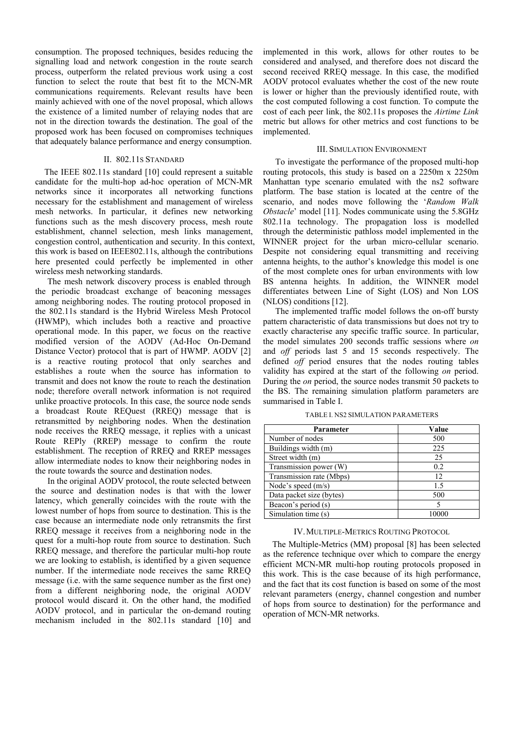consumption. The proposed techniques, besides reducing the signalling load and network congestion in the route search process, outperform the related previous work using a cost function to select the route that best fit to the MCN-MR communications requirements. Relevant results have been mainly achieved with one of the novel proposal, which allows the existence of a limited number of relaying nodes that are not in the direction towards the destination. The goal of the proposed work has been focused on compromises techniques that adequately balance performance and energy consumption.

# II. 802.11S STANDARD

The IEEE 802.11s standard [10] could represent a suitable candidate for the multi-hop ad-hoc operation of MCN-MR networks since it incorporates all networking functions necessary for the establishment and management of wireless mesh networks. In particular, it defines new networking functions such as the mesh discovery process, mesh route establishment, channel selection, mesh links management, congestion control, authentication and security. In this context, this work is based on IEEE802.11s, although the contributions here presented could perfectly be implemented in other wireless mesh networking standards.

The mesh network discovery process is enabled through the periodic broadcast exchange of beaconing messages among neighboring nodes. The routing protocol proposed in the 802.11s standard is the Hybrid Wireless Mesh Protocol (HWMP), which includes both a reactive and proactive operational mode. In this paper, we focus on the reactive modified version of the AODV (Ad-Hoc On-Demand Distance Vector) protocol that is part of HWMP. AODV [2] is a reactive routing protocol that only searches and establishes a route when the source has information to transmit and does not know the route to reach the destination node; therefore overall network information is not required unlike proactive protocols. In this case, the source node sends a broadcast Route REQuest (RREQ) message that is retransmitted by neighboring nodes. When the destination node receives the RREQ message, it replies with a unicast Route REPly (RREP) message to confirm the route establishment. The reception of RREQ and RREP messages allow intermediate nodes to know their neighboring nodes in the route towards the source and destination nodes.

In the original AODV protocol, the route selected between the source and destination nodes is that with the lower latency, which generally coincides with the route with the lowest number of hops from source to destination. This is the case because an intermediate node only retransmits the first RREQ message it receives from a neighboring node in the quest for a multi-hop route from source to destination. Such RREQ message, and therefore the particular multi-hop route we are looking to establish, is identified by a given sequence number. If the intermediate node receives the same RREQ message (i.e. with the same sequence number as the first one) from a different neighboring node, the original AODV protocol would discard it. On the other hand, the modified AODV protocol, and in particular the on-demand routing mechanism included in the 802.11s standard [10] and

implemented in this work, allows for other routes to be considered and analysed, and therefore does not discard the second received RREQ message. In this case, the modified AODV protocol evaluates whether the cost of the new route is lower or higher than the previously identified route, with the cost computed following a cost function. To compute the cost of each peer link, the 802.11s proposes the *Airtime Link* metric but allows for other metrics and cost functions to be implemented.

### III. SIMULATION ENVIRONMENT

To investigate the performance of the proposed multi-hop routing protocols, this study is based on a 2250m x 2250m Manhattan type scenario emulated with the ns2 software platform. The base station is located at the centre of the scenario, and nodes move following the '*Random Walk Obstacle*' model [11]. Nodes communicate using the 5.8GHz 802.11a technology. The propagation loss is modelled through the deterministic pathloss model implemented in the WINNER project for the urban micro-cellular scenario. Despite not considering equal transmitting and receiving antenna heights, to the author's knowledge this model is one of the most complete ones for urban environments with low BS antenna heights. In addition, the WINNER model differentiates between Line of Sight (LOS) and Non LOS (NLOS) conditions [12].

The implemented traffic model follows the on-off bursty pattern characteristic of data transmissions but does not try to exactly characterise any specific traffic source. In particular, the model simulates 200 seconds traffic sessions where *on* and *off* periods last 5 and 15 seconds respectively. The defined *off* period ensures that the nodes routing tables validity has expired at the start of the following *on* period. During the *on* period, the source nodes transmit 50 packets to the BS. The remaining simulation platform parameters are summarised in Table I.

| Parameter                | Value |  |
|--------------------------|-------|--|
| Number of nodes          | 500   |  |
| Buildings width (m)      | 225   |  |
| Street width (m)         | 25    |  |
| Transmission power (W)   | 0.2   |  |
| Transmission rate (Mbps) | 12    |  |
| Node's speed $(m/s)$     | 1.5   |  |
| Data packet size (bytes) | 500   |  |
| Beacon's period (s)      | 5     |  |
| Simulation time (s)      | 10000 |  |

TABLE I. NS2 SIMULATION PARAMETERS

#### IV.MULTIPLE-METRICS ROUTING PROTOCOL

The Multiple-Metrics (MM) proposal [8] has been selected as the reference technique over which to compare the energy efficient MCN-MR multi-hop routing protocols proposed in this work. This is the case because of its high performance, and the fact that its cost function is based on some of the most relevant parameters (energy, channel congestion and number of hops from source to destination) for the performance and operation of MCN-MR networks.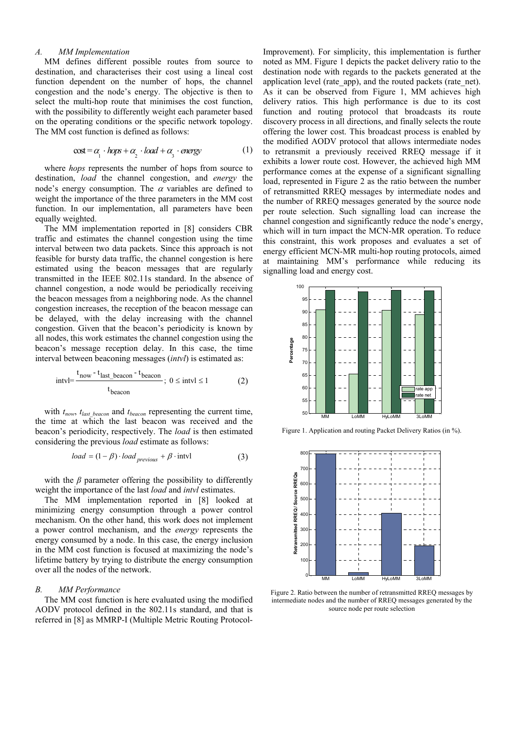# *A. MM Implementation*

MM defines different possible routes from source to destination, and characterises their cost using a lineal cost function dependent on the number of hops, the channel congestion and the node's energy. The objective is then to select the multi-hop route that minimises the cost function, with the possibility to differently weight each parameter based on the operating conditions or the specific network topology. The MM cost function is defined as follows:

$$
\cos t = \alpha_{1} \cdot hops + \alpha_{2} \cdot load + \alpha_{3} \cdot energy \tag{1}
$$

where *hops* represents the number of hops from source to destination, *load* the channel congestion, and *energy* the node's energy consumption. The  $\alpha$  variables are defined to weight the importance of the three parameters in the MM cost function. In our implementation, all parameters have been equally weighted.

The MM implementation reported in [8] considers CBR traffic and estimates the channel congestion using the time interval between two data packets. Since this approach is not feasible for bursty data traffic, the channel congestion is here estimated using the beacon messages that are regularly transmitted in the IEEE 802.11s standard. In the absence of channel congestion, a node would be periodically receiving the beacon messages from a neighboring node. As the channel congestion increases, the reception of the beacon message can be delayed, with the delay increasing with the channel congestion. Given that the beacon's periodicity is known by all nodes, this work estimates the channel congestion using the beacon's message reception delay. In this case, the time interval between beaconing messages (*intvl*) is estimated as:

$$
intvl = \frac{t_{\text{now}} - t_{\text{last\_beacon}} - t_{\text{beacon}}}{t_{\text{beacon}}}; 0 \leq intvl \leq 1
$$
 (2)

with  $t_{now}$ ,  $t_{last\; became}$  and  $t_{beacon}$  representing the current time, the time at which the last beacon was received and the beacon's periodicity, respectively. The *load* is then estimated considering the previous *load* estimate as follows:

$$
load = (1 - \beta) \cdot load_{previous} + \beta \cdot \text{intvl} \tag{3}
$$

with the  $\beta$  parameter offering the possibility to differently weight the importance of the last *load* and *intvl* estimates.

The MM implementation reported in [8] looked at minimizing energy consumption through a power control mechanism. On the other hand, this work does not implement a power control mechanism, and the *energy* represents the energy consumed by a node. In this case, the energy inclusion in the MM cost function is focused at maximizing the node's lifetime battery by trying to distribute the energy consumption over all the nodes of the network.

# *B. MM Performance*

The MM cost function is here evaluated using the modified AODV protocol defined in the 802.11s standard, and that is referred in [8] as MMRP-I (Multiple Metric Routing Protocol-

Improvement). For simplicity, this implementation is further noted as MM. Figure 1 depicts the packet delivery ratio to the destination node with regards to the packets generated at the application level (rate\_app), and the routed packets (rate\_net). As it can be observed from Figure 1, MM achieves high delivery ratios. This high performance is due to its cost function and routing protocol that broadcasts its route discovery process in all directions, and finally selects the route offering the lower cost. This broadcast process is enabled by the modified AODV protocol that allows intermediate nodes to retransmit a previously received RREQ message if it exhibits a lower route cost. However, the achieved high MM performance comes at the expense of a significant signalling load, represented in Figure 2 as the ratio between the number of retransmitted RREQ messages by intermediate nodes and the number of RREQ messages generated by the source node per route selection. Such signalling load can increase the channel congestion and significantly reduce the node's energy, which will in turn impact the MCN-MR operation. To reduce this constraint, this work proposes and evaluates a set of energy efficient MCN-MR multi-hop routing protocols, aimed at maintaining MM's performance while reducing its signalling load and energy cost.



Figure 1. Application and routing Packet Delivery Ratios (in %).



Figure 2. Ratio between the number of retransmitted RREQ messages by intermediate nodes and the number of RREQ messages generated by the source node per route selection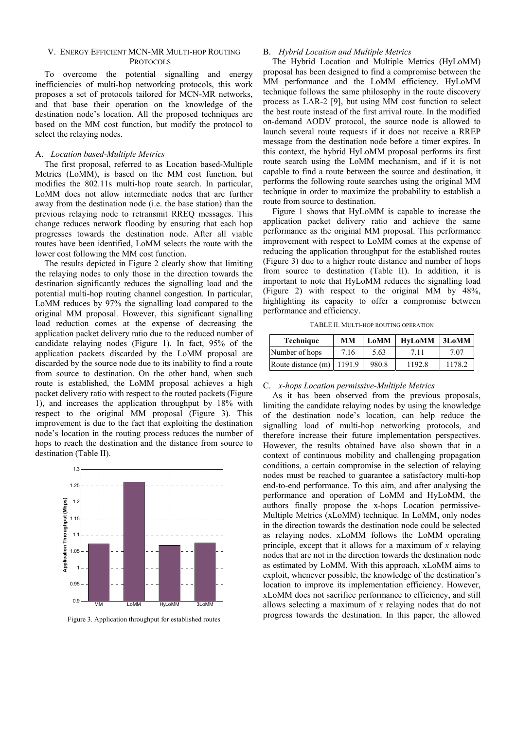# V. ENERGY EFFICIENT MCN-MR MULTI-HOP ROUTING PROTOCOLS

To overcome the potential signalling and energy inefficiencies of multi-hop networking protocols, this work proposes a set of protocols tailored for MCN-MR networks, and that base their operation on the knowledge of the destination node's location. All the proposed techniques are based on the MM cost function, but modify the protocol to select the relaying nodes.

# A. *Location based-Multiple Metrics*

The first proposal, referred to as Location based-Multiple Metrics (LoMM), is based on the MM cost function, but modifies the 802.11s multi-hop route search. In particular, LoMM does not allow intermediate nodes that are further away from the destination node (i.e. the base station) than the previous relaying node to retransmit RREQ messages. This change reduces network flooding by ensuring that each hop progresses towards the destination node. After all viable routes have been identified, LoMM selects the route with the lower cost following the MM cost function.

The results depicted in Figure 2 clearly show that limiting the relaying nodes to only those in the direction towards the destination significantly reduces the signalling load and the potential multi-hop routing channel congestion. In particular, LoMM reduces by 97% the signalling load compared to the original MM proposal. However, this significant signalling load reduction comes at the expense of decreasing the application packet delivery ratio due to the reduced number of candidate relaying nodes (Figure 1). In fact, 95% of the application packets discarded by the LoMM proposal are discarded by the source node due to its inability to find a route from source to destination. On the other hand, when such route is established, the LoMM proposal achieves a high packet delivery ratio with respect to the routed packets (Figure 1), and increases the application throughput by 18% with respect to the original MM proposal (Figure 3). This improvement is due to the fact that exploiting the destination node's location in the routing process reduces the number of hops to reach the destination and the distance from source to destination (Table II).



Figure 3. Application throughput for established routes

# B. *Hybrid Location and Multiple Metrics*

The Hybrid Location and Multiple Metrics (HyLoMM) proposal has been designed to find a compromise between the MM performance and the LoMM efficiency. HyLoMM technique follows the same philosophy in the route discovery process as LAR-2 [9], but using MM cost function to select the best route instead of the first arrival route. In the modified on-demand AODV protocol, the source node is allowed to launch several route requests if it does not receive a RREP message from the destination node before a timer expires. In this context, the hybrid HyLoMM proposal performs its first route search using the LoMM mechanism, and if it is not capable to find a route between the source and destination, it performs the following route searches using the original MM technique in order to maximize the probability to establish a route from source to destination.

Figure 1 shows that HyLoMM is capable to increase the application packet delivery ratio and achieve the same performance as the original MM proposal. This performance improvement with respect to LoMM comes at the expense of reducing the application throughput for the established routes (Figure 3) due to a higher route distance and number of hops from source to destination (Table II). In addition, it is important to note that HyLoMM reduces the signalling load (Figure 2) with respect to the original MM by 48%, highlighting its capacity to offer a compromise between performance and efficiency.

TABLE II. MULTI-HOP ROUTING OPERATION

| <b>Technique</b>              | MМ   | LoMM  | <b>HvLoMM</b> | 3LoMM  |
|-------------------------------|------|-------|---------------|--------|
| Number of hops                | 7.16 | 5.63  | 711           | 7.07   |
| Route distance $(m)$   1191.9 |      | 980.8 | 1192.8        | 1178.2 |

#### C. *x-hops Location permissive-Multiple Metrics*

As it has been observed from the previous proposals, limiting the candidate relaying nodes by using the knowledge of the destination node's location, can help reduce the signalling load of multi-hop networking protocols, and therefore increase their future implementation perspectives. However, the results obtained have also shown that in a context of continuous mobility and challenging propagation conditions, a certain compromise in the selection of relaying nodes must be reached to guarantee a satisfactory multi-hop end-to-end performance. To this aim, and after analysing the performance and operation of LoMM and HyLoMM, the authors finally propose the x-hops Location permissive-Multiple Metrics (xLoMM) technique. In LoMM, only nodes in the direction towards the destination node could be selected as relaying nodes. xLoMM follows the LoMM operating principle, except that it allows for a maximum of *x* relaying nodes that are not in the direction towards the destination node as estimated by LoMM. With this approach, xLoMM aims to exploit, whenever possible, the knowledge of the destination's location to improve its implementation efficiency. However, xLoMM does not sacrifice performance to efficiency, and still allows selecting a maximum of *x* relaying nodes that do not progress towards the destination. In this paper, the allowed